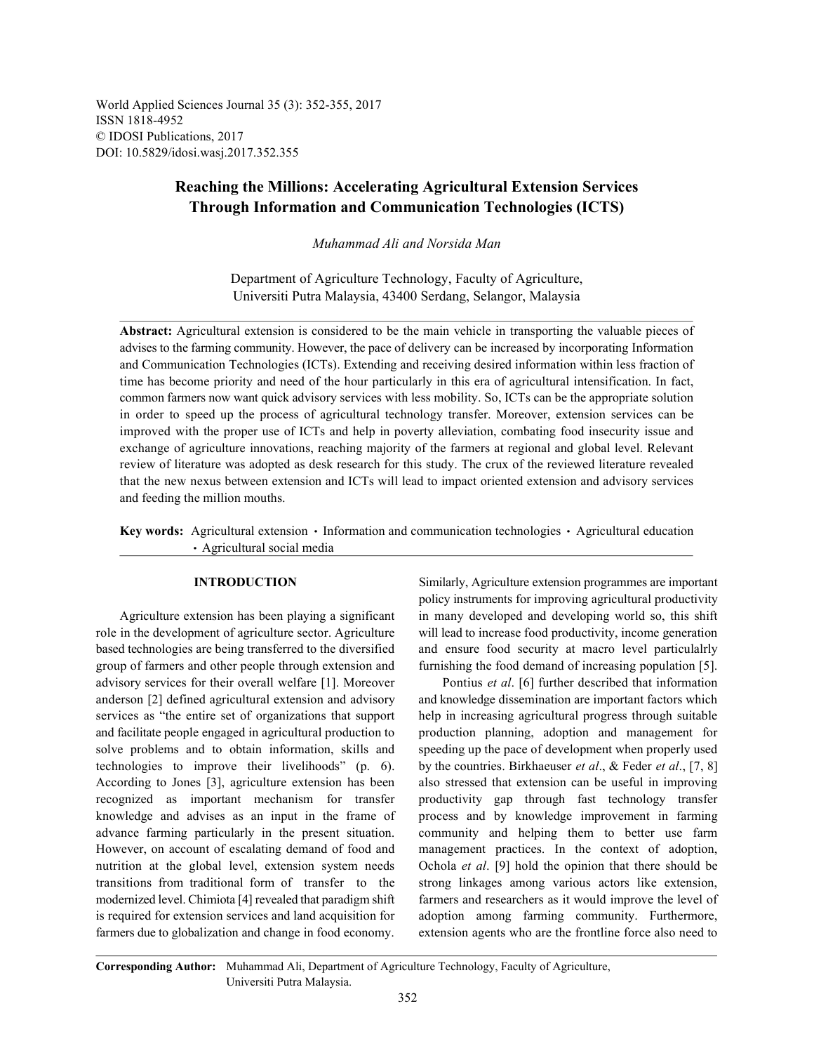World Applied Sciences Journal 35 (3): 352-355, 2017 ISSN 1818-4952 © IDOSI Publications, 2017 DOI: 10.5829/idosi.wasj.2017.352.355

## **Reaching the Millions: Accelerating Agricultural Extension Services Through Information and Communication Technologies (ICTS)**

*Muhammad Ali and Norsida Man*

Department of Agriculture Technology, Faculty of Agriculture, Universiti Putra Malaysia, 43400 Serdang, Selangor, Malaysia

**Abstract:** Agricultural extension is considered to be the main vehicle in transporting the valuable pieces of advises to the farming community. However, the pace of delivery can be increased by incorporating Information and Communication Technologies (ICTs). Extending and receiving desired information within less fraction of time has become priority and need of the hour particularly in this era of agricultural intensification. In fact, common farmers now want quick advisory services with less mobility. So, ICTs can be the appropriate solution in order to speed up the process of agricultural technology transfer. Moreover, extension services can be improved with the proper use of ICTs and help in poverty alleviation, combating food insecurity issue and exchange of agriculture innovations, reaching majority of the farmers at regional and global level. Relevant review of literature was adopted as desk research for this study. The crux of the reviewed literature revealed that the new nexus between extension and ICTs will lead to impact oriented extension and advisory services and feeding the million mouths.

Key words: Agricultural extension • Information and communication technologies • Agricultural education Agricultural social media

role in the development of agriculture sector. Agriculture will lead to increase food productivity, income generation based technologies are being transferred to the diversified and ensure food security at macro level particulalrly group of farmers and other people through extension and furnishing the food demand of increasing population [5]. advisory services for their overall welfare [1]. Moreover Pontius *et al*. [6] further described that information anderson [2] defined agricultural extension and advisory and knowledge dissemination are important factors which services as "the entire set of organizations that support help in increasing agricultural progress through suitable and facilitate people engaged in agricultural production to production planning, adoption and management for solve problems and to obtain information, skills and speeding up the pace of development when properly used technologies to improve their livelihoods" (p. 6). by the countries. Birkhaeuser *et al*., & Feder *et al*., [7, 8] According to Jones [3], agriculture extension has been also stressed that extension can be useful in improving recognized as important mechanism for transfer productivity gap through fast technology transfer knowledge and advises as an input in the frame of process and by knowledge improvement in farming advance farming particularly in the present situation. community and helping them to better use farm However, on account of escalating demand of food and management practices. In the context of adoption, nutrition at the global level, extension system needs Ochola *et al*. [9] hold the opinion that there should be transitions from traditional form of transfer to the strong linkages among various actors like extension, modernized level. Chimiota [4] revealed that paradigm shift farmers and researchers as it would improve the level of is required for extension services and land acquisition for adoption among farming community. Furthermore, farmers due to globalization and change in food economy. extension agents who are the frontline force also need to

**INTRODUCTION** Similarly, Agriculture extension programmes are important Agriculture extension has been playing a significant in many developed and developing world so, this shift policy instruments for improving agricultural productivity

**Corresponding Author:** Muhammad Ali, Department of Agriculture Technology, Faculty of Agriculture, Universiti Putra Malaysia.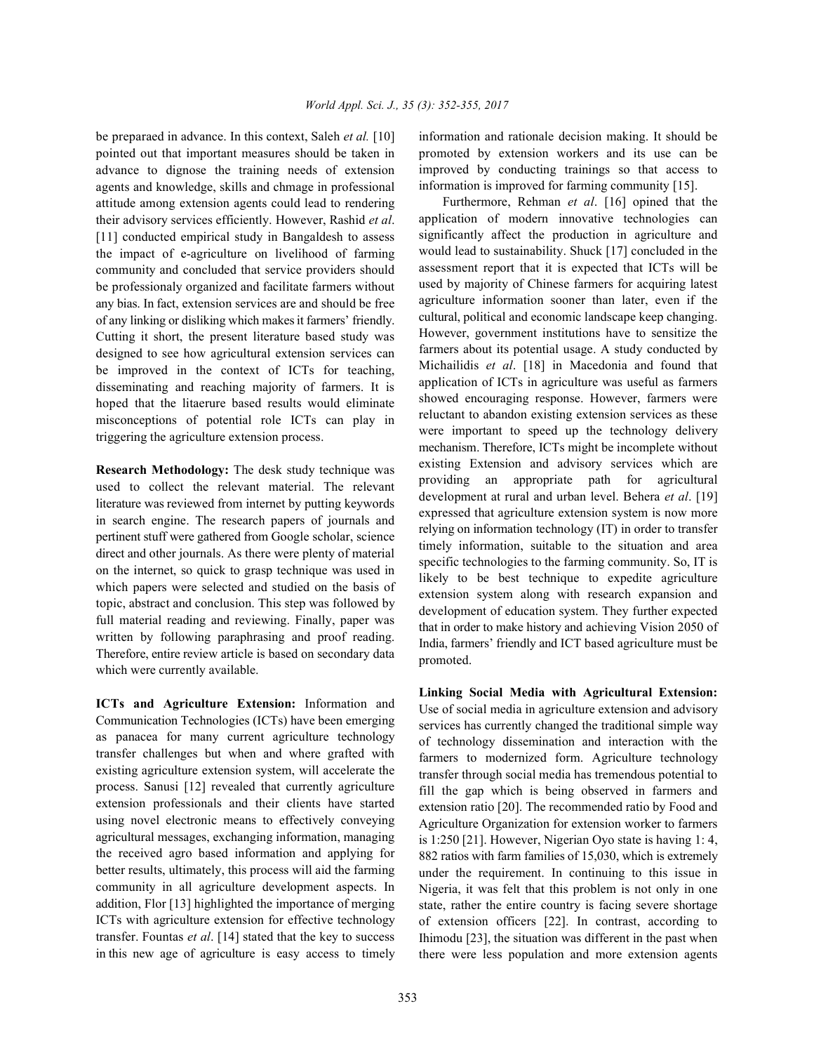pointed out that important measures should be taken in advance to dignose the training needs of extension agents and knowledge, skills and chmage in professional attitude among extension agents could lead to rendering their advisory services efficiently. However, Rashid *et al*. [11] conducted empirical study in Bangaldesh to assess the impact of e-agriculture on livelihood of farming community and concluded that service providers should be professionaly organized and facilitate farmers without any bias. In fact, extension services are and should be free of any linking or disliking which makes it farmers' friendly. Cutting it short, the present literature based study was designed to see how agricultural extension services can be improved in the context of ICTs for teaching, disseminating and reaching majority of farmers. It is hoped that the litaerure based results would eliminate misconceptions of potential role ICTs can play in triggering the agriculture extension process.

**Research Methodology:** The desk study technique was used to collect the relevant material. The relevant literature was reviewed from internet by putting keywords in search engine. The research papers of journals and pertinent stuff were gathered from Google scholar, science direct and other journals. As there were plenty of material on the internet, so quick to grasp technique was used in which papers were selected and studied on the basis of topic, abstract and conclusion. This step was followed by full material reading and reviewing. Finally, paper was written by following paraphrasing and proof reading. Therefore, entire review article is based on secondary data which were currently available.

**ICTs and Agriculture Extension:** Information and Communication Technologies (ICTs) have been emerging as panacea for many current agriculture technology transfer challenges but when and where grafted with existing agriculture extension system, will accelerate the process. Sanusi [12] revealed that currently agriculture extension professionals and their clients have started using novel electronic means to effectively conveying agricultural messages, exchanging information, managing the received agro based information and applying for better results, ultimately, this process will aid the farming community in all agriculture development aspects. In addition, Flor [13] highlighted the importance of merging ICTs with agriculture extension for effective technology transfer. Fountas *et al*. [14] stated that the key to success in this new age of agriculture is easy access to timely

be preparaed in advance. In this context, Saleh *et al.* [10] information and rationale decision making. It should be promoted by extension workers and its use can be improved by conducting trainings so that access to information is improved for farming community [15].

> Furthermore, Rehman *et al*. [16] opined that the application of modern innovative technologies can significantly affect the production in agriculture and would lead to sustainability. Shuck [17] concluded in the assessment report that it is expected that ICTs will be used by majority of Chinese farmers for acquiring latest agriculture information sooner than later, even if the cultural, political and economic landscape keep changing. However, government institutions have to sensitize the farmers about its potential usage. A study conducted by Michailidis *et al*. [18] in Macedonia and found that application of ICTs in agriculture was useful as farmers showed encouraging response. However, farmers were reluctant to abandon existing extension services as these were important to speed up the technology delivery mechanism. Therefore, ICTs might be incomplete without existing Extension and advisory services which are providing an appropriate path for agricultural development at rural and urban level. Behera *et al*. [19] expressed that agriculture extension system is now more relying on information technology (IT) in order to transfer timely information, suitable to the situation and area specific technologies to the farming community. So, IT is likely to be best technique to expedite agriculture extension system along with research expansion and development of education system. They further expected that in order to make history and achieving Vision 2050 of India, farmers' friendly and ICT based agriculture must be promoted.

> **Linking Social Media with Agricultural Extension:** Use of social media in agriculture extension and advisory services has currently changed the traditional simple way of technology dissemination and interaction with the farmers to modernized form. Agriculture technology transfer through social media has tremendous potential to fill the gap which is being observed in farmers and extension ratio [20]. The recommended ratio by Food and Agriculture Organization for extension worker to farmers is 1:250 [21]. However, Nigerian Oyo state is having 1: 4, 882 ratios with farm families of 15,030, which is extremely under the requirement. In continuing to this issue in Nigeria, it was felt that this problem is not only in one state, rather the entire country is facing severe shortage of extension officers [22]. In contrast, according to Ihimodu [23], the situation was different in the past when there were less population and more extension agents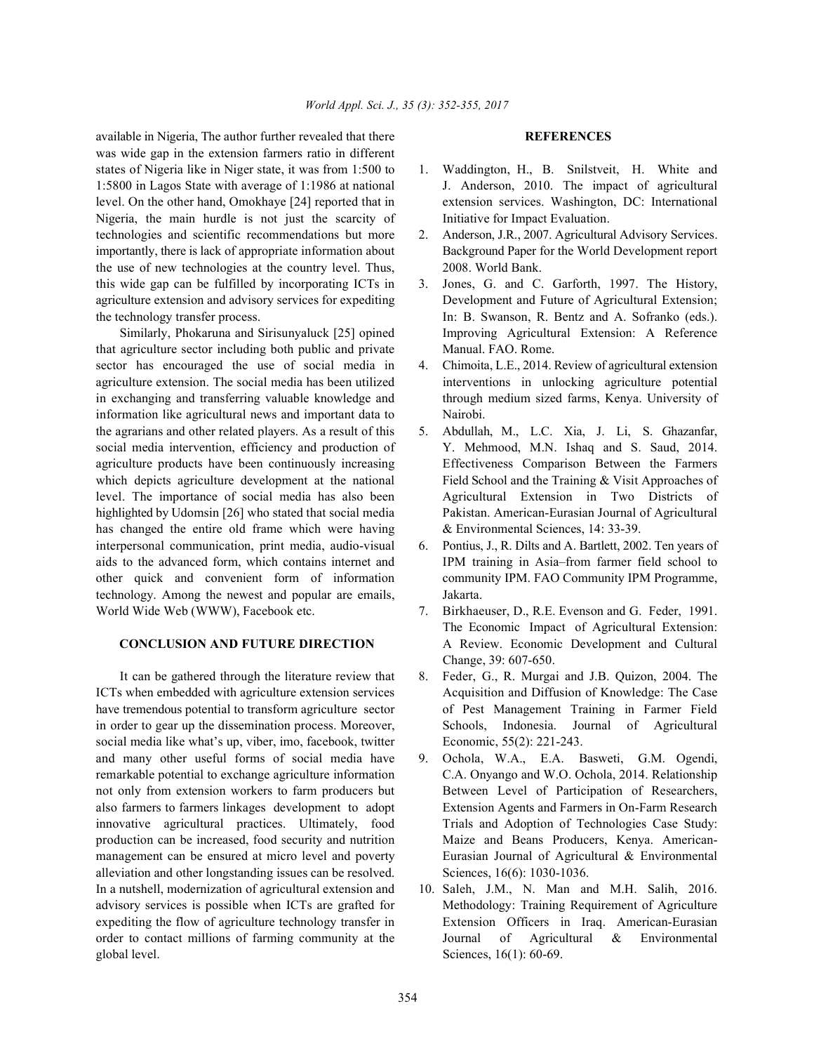available in Nigeria, The author further revealed that there **REFERENCES** was wide gap in the extension farmers ratio in different states of Nigeria like in Niger state, it was from 1:500 to 1. Waddington, H., B. Snilstveit, H. White and 1:5800 in Lagos State with average of 1:1986 at national J. Anderson, 2010. The impact of agricultural level. On the other hand, Omokhaye [24] reported that in extension services. Washington, DC: International Nigeria, the main hurdle is not just the scarcity of Initiative for Impact Evaluation. technologies and scientific recommendations but more 2. Anderson, J.R., 2007. Agricultural Advisory Services. importantly, there is lack of appropriate information about Background Paper for the World Development report the use of new technologies at the country level. Thus, 2008. World Bank. this wide gap can be fulfilled by incorporating ICTs in 3. Jones, G. and C. Garforth, 1997. The History, the technology transfer process. In: B. Swanson, R. Bentz and A. Sofranko (eds.).

that agriculture sector including both public and private Manual. FAO. Rome. sector has encouraged the use of social media in 4. Chimoita, L.E., 2014. Review of agricultural extension agriculture extension. The social media has been utilized interventions in unlocking agriculture potential in exchanging and transferring valuable knowledge and through medium sized farms, Kenya. University of information like agricultural news and important data to Nairobi. the agrarians and other related players. As a result of this 5. Abdullah, M., L.C. Xia, J. Li, S. Ghazanfar, social media intervention, efficiency and production of Y. Mehmood, M.N. Ishaq and S. Saud, 2014. agriculture products have been continuously increasing Effectiveness Comparison Between the Farmers which depicts agriculture development at the national Field School and the Training & Visit Approaches of level. The importance of social media has also been Agricultural Extension in Two Districts of highlighted by Udomsin [26] who stated that social media Pakistan. American-Eurasian Journal of Agricultural has changed the entire old frame which were having  $\&$  Environmental Sciences, 14: 33-39. interpersonal communication, print media, audio-visual 6. Pontius, J., R. Dilts and A. Bartlett, 2002. Ten years of aids to the advanced form, which contains internet and IPM training in Asia–from farmer field school to other quick and convenient form of information community IPM. FAO Community IPM Programme, technology. Among the newest and popular are emails, Jakarta. World Wide Web (WWW), Facebook etc. 7. Birkhaeuser, D., R.E. Evenson and G. Feder, 1991.

ICTs when embedded with agriculture extension services Acquisition and Diffusion of Knowledge: The Case have tremendous potential to transform agriculture sector of Pest Management Training in Farmer Field in order to gear up the dissemination process. Moreover, Schools, Indonesia. Journal of Agricultural social media like what's up, viber, imo, facebook, twitter Economic, 55(2): 221-243. and many other useful forms of social media have 9. Ochola, W.A., E.A. Basweti, G.M. Ogendi, innovative agricultural practices. Ultimately, food Trials and Adoption of Technologies Case Study: production can be increased, food security and nutrition Maize and Beans Producers, Kenya. Americanalleviation and other longstanding issues can be resolved. Sciences, 16(6): 1030-1036. In a nutshell, modernization of agricultural extension and 10. Saleh, J.M., N. Man and M.H. Salih, 2016. advisory services is possible when ICTs are grafted for Methodology: Training Requirement of Agriculture expediting the flow of agriculture technology transfer in Extension Officers in Iraq. American-Eurasian order to contact millions of farming community at the Journal of Agricultural & Environmental global level. Sciences, 16(1): 60-69.

- 
- 
- agriculture extension and advisory services for expediting Development and Future of Agricultural Extension; Similarly, Phokaruna and Sirisunyaluck [25] opined Improving Agricultural Extension: A Reference
	-
	-
	-
	- **CONCLUSION AND FUTURE DIRECTION** A Review. Economic Development and Cultural The Economic Impact of Agricultural Extension: Change, 39: 607-650.
	- It can be gathered through the literature review that 8. Feder, G., R. Murgai and J.B. Quizon, 2004. The
- remarkable potential to exchange agriculture information C.A. Onyango and W.O. Ochola, 2014. Relationship not only from extension workers to farm producers but Between Level of Participation of Researchers, also farmers to farmers linkages development to adopt Extension Agents and Farmers in On-Farm Research management can be ensured at micro level and poverty Eurasian Journal of Agricultural & Environmental
	-